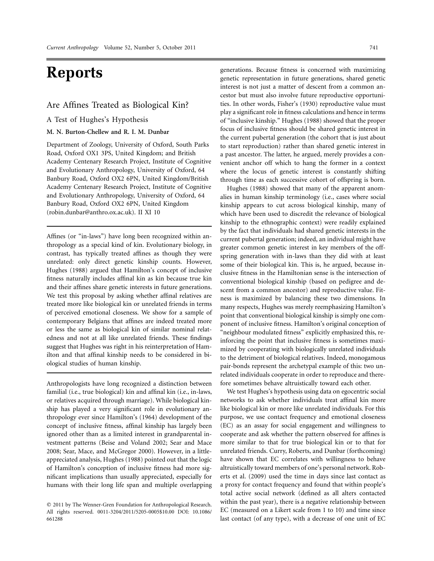# **Reports**

# Are Affines Treated as Biological Kin?

### A Test of Hughes's Hypothesis

# **M. N. Burton-Chellew and R. I. M. Dunbar**

Department of Zoology, University of Oxford, South Parks Road, Oxford OX1 3PS, United Kingdom; and British Academy Centenary Research Project, Institute of Cognitive and Evolutionary Anthropology, University of Oxford, 64 Banbury Road, Oxford OX2 6PN, United Kingdom/British Academy Centenary Research Project, Institute of Cognitive and Evolutionary Anthropology, University of Oxford, 64 Banbury Road, Oxford OX2 6PN, United Kingdom [\(robin.dunbar@anthro.ox.ac.uk\)](mailto:robin.dunbar@anthro.ox.ac.uk). II XI 10

Affines (or "in-laws") have long been recognized within anthropology as a special kind of kin. Evolutionary biology, in contrast, has typically treated affines as though they were unrelated: only direct genetic kinship counts. However, Hughes (1988) argued that Hamilton's concept of inclusive fitness naturally includes affinal kin as kin because true kin and their affines share genetic interests in future generations. We test this proposal by asking whether affinal relatives are treated more like biological kin or unrelated friends in terms of perceived emotional closeness. We show for a sample of contemporary Belgians that affines are indeed treated more or less the same as biological kin of similar nominal relatedness and not at all like unrelated friends. These findings suggest that Hughes was right in his reinterpretation of Hamilton and that affinal kinship needs to be considered in biological studies of human kinship.

Anthropologists have long recognized a distinction between familial (i.e., true biological) kin and affinal kin (i.e., in-laws, or relatives acquired through marriage). While biological kinship has played a very significant role in evolutionary anthropology ever since Hamilton's (1964) development of the concept of inclusive fitness, affinal kinship has largely been ignored other than as a limited interest in grandparental investment patterns (Beise and Voland 2002; Sear and Mace 2008; Sear, Mace, and McGregor 2000). However, in a littleappreciated analysis, Hughes (1988) pointed out that the logic of Hamilton's conception of inclusive fitness had more significant implications than usually appreciated, especially for humans with their long life span and multiple overlapping generations. Because fitness is concerned with maximizing genetic representation in future generations, shared genetic interest is not just a matter of descent from a common ancestor but must also involve future reproductive opportunities. In other words, Fisher's (1930) reproductive value must play a significant role in fitness calculations and hence in terms of "inclusive kinship." Hughes (1988) showed that the proper focus of inclusive fitness should be shared genetic interest in the current pubertal generation (the cohort that is just about to start reproduction) rather than shared genetic interest in a past ancestor. The latter, he argued, merely provides a convenient anchor off which to hang the former in a context where the locus of genetic interest is constantly shifting through time as each successive cohort of offspring is born.

Hughes (1988) showed that many of the apparent anomalies in human kinship terminology (i.e., cases where social kinship appears to cut across biological kinship, many of which have been used to discredit the relevance of biological kinship to the ethnographic context) were readily explained by the fact that individuals had shared genetic interests in the current pubertal generation; indeed, an individual might have greater common genetic interest in key members of the offspring generation with in-laws than they did with at least some of their biological kin. This is, he argued, because inclusive fitness in the Hamiltonian sense is the intersection of conventional biological kinship (based on pedigree and descent from a common ancestor) and reproductive value. Fitness is maximized by balancing these two dimensions. In many respects, Hughes was merely reemphasizing Hamilton's point that conventional biological kinship is simply one component of inclusive fitness. Hamilton's original conception of "neighbour modulated fitness" explicitly emphasized this, reinforcing the point that inclusive fitness is sometimes maximized by cooperating with biologically unrelated individuals to the detriment of biological relatives. Indeed, monogamous pair-bonds represent the archetypal example of this: two unrelated individuals cooperate in order to reproduce and therefore sometimes behave altruistically toward each other.

We test Hughes's hypothesis using data on egocentric social networks to ask whether individuals treat affinal kin more like biological kin or more like unrelated individuals. For this purpose, we use contact frequency and emotional closeness (EC) as an assay for social engagement and willingness to cooperate and ask whether the pattern observed for affines is more similar to that for true biological kin or to that for unrelated friends. Curry, Roberts, and Dunbar (forthcoming) have shown that EC correlates with willingness to behave altruistically toward members of one's personal network. Roberts et al. (2009) used the time in days since last contact as a proxy for contact frequency and found that within people's total active social network (defined as all alters contacted within the past year), there is a negative relationship between EC (measured on a Likert scale from 1 to 10) and time since last contact (of any type), with a decrease of one unit of EC

2011 by The Wenner-Gren Foundation for Anthropological Research. All rights reserved. 0011-3204/2011/5205-0005\$10.00 DOI: 10.1086/ 661288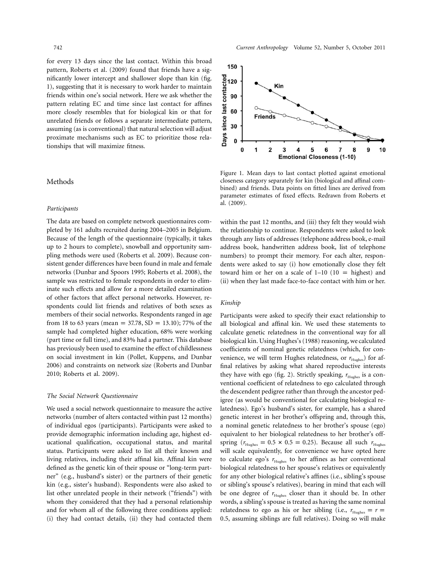for every 13 days since the last contact. Within this broad pattern, Roberts et al. (2009) found that friends have a significantly lower intercept and shallower slope than kin (fig. 1), suggesting that it is necessary to work harder to maintain friends within one's social network. Here we ask whether the pattern relating EC and time since last contact for affines more closely resembles that for biological kin or that for unrelated friends or follows a separate intermediate pattern, assuming (as is conventional) that natural selection will adjust proximate mechanisms such as EC to prioritize those relationships that will maximize fitness.

#### Methods

#### *Participants*

The data are based on complete network questionnaires completed by 161 adults recruited during 2004–2005 in Belgium. Because of the length of the questionnaire (typically, it takes up to 2 hours to complete), snowball and opportunity sampling methods were used (Roberts et al. 2009). Because consistent gender differences have been found in male and female networks (Dunbar and Spoors 1995; Roberts et al. 2008), the sample was restricted to female respondents in order to eliminate such effects and allow for a more detailed examination of other factors that affect personal networks. However, respondents could list friends and relatives of both sexes as members of their social networks. Respondents ranged in age from 18 to 63 years (mean = 37.78, SD = 13.10); 77% of the sample had completed higher education, 68% were working (part time or full time), and 83% had a partner. This database has previously been used to examine the effect of childlessness on social investment in kin (Pollet, Kuppens, and Dunbar 2006) and constraints on network size (Roberts and Dunbar 2010; Roberts et al. 2009).

#### *The Social Network Questionnaire*

We used a social network questionnaire to measure the active networks (number of alters contacted within past 12 months) of individual egos (participants). Participants were asked to provide demographic information including age, highest educational qualification, occupational status, and marital status. Participants were asked to list all their known and living relatives, including their affinal kin. Affinal kin were defined as the genetic kin of their spouse or "long-term partner" (e.g., husband's sister) or the partners of their genetic kin (e.g., sister's husband). Respondents were also asked to list other unrelated people in their network ("friends") with whom they considered that they had a personal relationship and for whom all of the following three conditions applied: (i) they had contact details, (ii) they had contacted them



Figure 1. Mean days to last contact plotted against emotional closeness category separately for kin (biological and affinal combined) and friends. Data points on fitted lines are derived from parameter estimates of fixed effects. Redrawn from Roberts et al. (2009).

within the past 12 months, and (iii) they felt they would wish the relationship to continue. Respondents were asked to look through any lists of addresses (telephone address book, e-mail address book, handwritten address book, list of telephone numbers) to prompt their memory. For each alter, respondents were asked to say (i) how emotionally close they felt toward him or her on a scale of  $1-10$  ( $10 =$  highest) and (ii) when they last made face-to-face contact with him or her.

#### *Kinship*

Participants were asked to specify their exact relationship to all biological and affinal kin. We used these statements to calculate genetic relatedness in the conventional way for all biological kin. Using Hughes's (1988) reasoning, we calculated coefficients of nominal genetic relatedness (which, for convenience, we will term Hughes relatedness, or  $r_{\text{Huehes}}$ ) for affinal relatives by asking what shared reproductive interests they have with ego (fig. 2). Strictly speaking,  $r_{\text{Huehes}}$  is a conventional coefficient of relatedness to ego calculated through the descendent pedigree rather than through the ancestor pedigree (as would be conventional for calculating biological relatedness). Ego's husband's sister, for example, has a shared genetic interest in her brother's offspring and, through this, a nominal genetic relatedness to her brother's spouse (ego) equivalent to her biological relatedness to her brother's offspring ( $r_{\text{Huehes}} = 0.5 \times 0.5 = 0.25$ ). Because all such  $r_{\text{Huehes}}$ will scale equivalently, for convenience we have opted here to calculate ego's  $r_{\text{Hughes}}$  to her affines as her conventional biological relatedness to her spouse's relatives or equivalently for any other biological relative's affines (i.e., sibling's spouse or sibling's spouse's relatives), bearing in mind that each will be one degree of  $r_{\text{Hughes}}$  closer than it should be. In other words, a sibling's spouse is treated as having the same nominal relatedness to ego as his or her sibling (i.e.,  $r_{\text{Hughes}} = r =$ 0.5, assuming siblings are full relatives). Doing so will make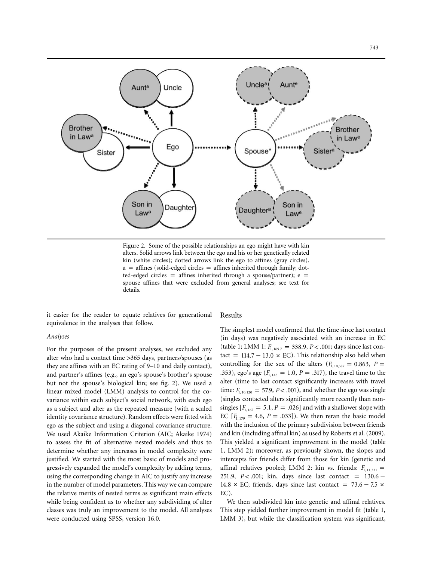

Figure 2. Some of the possible relationships an ego might have with kin alters. Solid arrows link between the ego and his or her genetically related kin (white circles); dotted arrows link the ego to affines (gray circles).  $a =$  affines (solid-edged circles  $=$  affines inherited through family; dotted-edged circles = affines inherited through a spouse/partner);  $e =$ spouse affines that were excluded from general analyses; see text for details.

it easier for the reader to equate relatives for generational equivalence in the analyses that follow.

#### Results

#### *Analyses*

For the purposes of the present analyses, we excluded any alter who had a contact time >365 days, partners/spouses (as they are affines with an EC rating of 9–10 and daily contact), and partner's affines (e.g., an ego's spouse's brother's spouse but not the spouse's biological kin; see fig. 2). We used a linear mixed model (LMM) analysis to control for the covariance within each subject's social network, with each ego as a subject and alter as the repeated measure (with a scaled identity covariance structure). Random effects were fitted with ego as the subject and using a diagonal covariance structure. We used Akaike Information Criterion (AIC; Akaike 1974) to assess the fit of alternative nested models and thus to determine whether any increases in model complexity were justified. We started with the most basic of models and progressively expanded the model's complexity by adding terms, using the corresponding change in AIC to justify any increase in the number of model parameters. This way we can compare the relative merits of nested terms as significant main effects while being confident as to whether any subdividing of alter classes was truly an improvement to the model. All analyses were conducted using SPSS, version 16.0.

The simplest model confirmed that the time since last contact (in days) was negatively associated with an increase in EC (table 1; LMM 1:  $F_{1, 169.7} = 338.9, P < .001$ ; days since last contact =  $114.7 - 13.0 \times EC$ ). This relationship also held when controlling for the sex of the alters ( $F_{1, 10, 587} = 0.863$ ,  $P =$ .353), ego's age ( $F_{1, 143} = 1.0$ ,  $P = .317$ ), the travel time to the alter (time to last contact significantly increases with travel time:  $F_{1, 10, 120} = 57.9, P < .001$ , and whether the ego was single (singles contacted alters significantly more recently than nonsingles  $[F_{1, 162} = 5.1, P = .026]$  and with a shallower slope with EC  $[F_{1,179} = 4.6, P = .033]$ . We then reran the basic model with the inclusion of the primary subdivision between friends and kin (including affinal kin) as used by Roberts et al. (2009). This yielded a significant improvement in the model (table 1, LMM 2); moreover, as previously shown, the slopes and intercepts for friends differ from those for kin (genetic and affinal relatives pooled; LMM 2: kin vs. friends:  $F_{1,11,331}$  = 251.9,  $P < .001$ ; kin, days since last contact  $= 130.6 -$ 14.8  $\times$  EC; friends, days since last contact = 73.6 – 7.5  $\times$ EC).

We then subdivided kin into genetic and affinal relatives. This step yielded further improvement in model fit (table 1, LMM 3), but while the classification system was significant,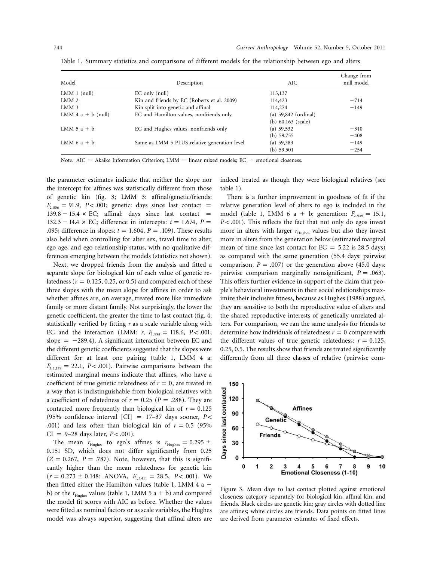| Model               | Description                                  | AIC                    | Change from<br>null model |
|---------------------|----------------------------------------------|------------------------|---------------------------|
| $LMM 1$ (null)      | EC only (null)                               | 115,137                |                           |
| LMM 2               | Kin and friends by EC (Roberts et al. 2009)  | 114,423                | $-714$                    |
| LMM <sub>3</sub>    | Kin split into genetic and affinal           | 114,274                | $-149$                    |
| LMM $4a + b$ (null) | EC and Hamilton values, nonfriends only      | $(a)$ 59,842 (ordinal) |                           |
|                     |                                              | (b) $60,163$ (scale)   |                           |
| LMM $5a + b$        | EC and Hughes values, nonfriends only        | (a) 59,532             | $-310$                    |
|                     |                                              | (b) $59,755$           | $-408$                    |
| LMM $6a + b$        | Same as LMM 5 PLUS relative generation level | (a) 59,383             | $-149$                    |
|                     |                                              | (b) $59,501$           | $-254$                    |

Table 1. Summary statistics and comparisons of different models for the relationship between ego and alters

Note. AIC = Akaike Information Criterion; LMM = linear mixed models;  $EC =$  emotional closeness.

the parameter estimates indicate that neither the slope nor the intercept for affines was statistically different from those of genetic kin (fig. 3; LMM 3: affinal/genetic/friends:  $F_{2,856} = 91.9$ ,  $P < .001$ ; genetic: days since last contact =  $139.8 - 15.4 \times EC$ ; affinal: days since last contact =  $132.3 - 14.4 \times EC$ ; difference in intercepts:  $t = 1.674$ ,  $P =$ .095; difference in slopes:  $t = 1.604$ ,  $P = .109$ ). These results also held when controlling for alter sex, travel time to alter, ego age, and ego relationship status, with no qualitative differences emerging between the models (statistics not shown).

Next, we dropped friends from the analysis and fitted a separate slope for biological kin of each value of genetic relatedness ( $r = 0.125, 0.25,$  or 0.5) and compared each of these three slopes with the mean slope for affines in order to ask whether affines are, on average, treated more like immediate family or more distant family. Not surprisingly, the lower the genetic coefficient, the greater the time to last contact (fig. 4; statistically verified by fitting *r* as a scale variable along with EC and the interaction (LMM:  $r$ ,  $F_{1.998} = 118.6$ ,  $P < .001$ ; slope  $= -289.4$ ). A significant interaction between EC and the different genetic coefficients suggested that the slopes were different for at least one pairing (table 1, LMM 4 a:  $F_{3,1,178} = 22.1, P < .001$ . Pairwise comparisons between the estimated marginal means indicate that affines, who have a coefficient of true genetic relatedness of  $r = 0$ , are treated in a way that is indistinguishable from biological relatives with a coefficient of relatedness of  $r = 0.25$  ( $P = .288$ ). They are contacted more frequently than biological kin of  $r = 0.125$ (95% confidence interval  $|CI| = 17-37$  days sooner,  $P <$ .001) and less often than biological kin of  $r = 0.5$  (95%  $CI = 9-28$  days later,  $P < .001$ ).

The mean  $r_{\text{Hughes}}$  to ego's affines is  $r_{\text{Hughes}} = 0.295 \pm 1.00$ 0.151 SD, which does not differ significantly from 0.25  $(Z = 0.267, P = .787)$ . Note, however, that this is significantly higher than the mean relatedness for genetic kin  $(r = 0.273 \pm 0.148$ : ANOVA,  $F_{1,5,411} = 28.5$ ,  $P < .001$ ). We then fitted either the Hamilton values (table 1, LMM 4 a  $+$ b) or the  $r_{\text{Hughes}}$  values (table 1, LMM 5 a + b) and compared the model fit scores with AIC as before. Whether the values were fitted as nominal factors or as scale variables, the Hughes model was always superior, suggesting that affinal alters are indeed treated as though they were biological relatives (see table 1).

There is a further improvement in goodness of fit if the relative generation level of alters to ego is included in the model (table 1, LMM 6 a + b: generation:  $F_{2,939} = 15.1$ , *P* < .001). This reflects the fact that not only do egos invest more in alters with larger  $r_{\text{Huehes}}$  values but also they invest more in alters from the generation below (estimated marginal mean of time since last contact for  $EC = 5.22$  is 28.5 days) as compared with the same generation (55.4 days: pairwise comparison,  $P = .007$  or the generation above (45.0 days: pairwise comparison marginally nonsignificant,  $P = .063$ ). This offers further evidence in support of the claim that people's behavioral investments in their social relationships maximize their inclusive fitness, because as Hughes (1988) argued, they are sensitive to both the reproductive value of alters and the shared reproductive interests of genetically unrelated alters. For comparison, we ran the same analysis for friends to determine how individuals of relatedness  $r = 0$  compare with the different values of true genetic relatedness:  $r = 0.125$ , 0.25, 0.5. The results show that friends are treated significantly differently from all three classes of relative (pairwise com-



Figure 3. Mean days to last contact plotted against emotional closeness category separately for biological kin, affinal kin, and friends. Black circles are genetic kin; gray circles with dotted line are affines; white circles are friends. Data points on fitted lines are derived from parameter estimates of fixed effects.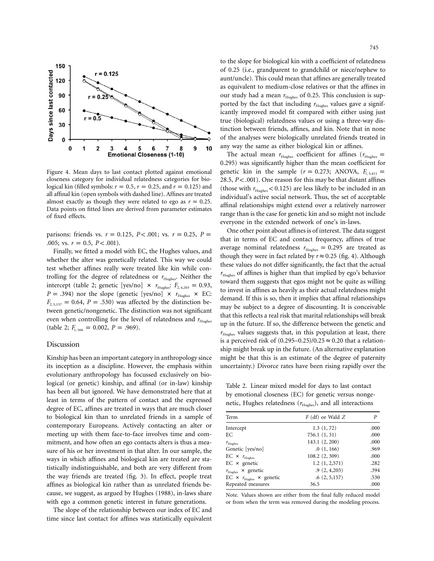

Figure 4. Mean days to last contact plotted against emotional closeness category for individual relatedness categories for biological kin (filled symbols:  $r = 0.5$ ,  $r = 0.25$ , and  $r = 0.125$ ) and all affinal kin (open symbols with dashed line). Affines are treated almost exactly as though they were related to ego as  $r = 0.25$ . Data points on fitted lines are derived from parameter estimates of fixed effects.

parisons: friends vs.  $r = 0.125$ ,  $P < .001$ ; vs.  $r = 0.25$ ,  $P =$ .005; vs.  $r = 0.5$ ,  $P < .001$ ).

Finally, we fitted a model with EC, the Hughes values, and whether the alter was genetically related. This way we could test whether affines really were treated like kin while controlling for the degree of relatedness or  $r_{\text{Hughes}}$ . Neither the intercept (table 2; genetic [yes/no]  $\times$   $r_{\text{Hughes}}$ :  $F_{2,4,203} = 0.93$ , *P* = .394) nor the slope (genetic [yes/no]  $\times r_{\text{Huples}} \times EC$ :  $F_{2,5,157} = 0.64$ ,  $P = .530$ ) was affected by the distinction between genetic/nongenetic. The distinction was not significant even when controlling for the level of relatedness and  $r_{\text{Hughes}}$  $(table 2; F<sub>1, 166</sub> = 0.002, P = .969).$ 

## Discussion

Kinship has been an important category in anthropology since its inception as a discipline. However, the emphasis within evolutionary anthropology has focussed exclusively on biological (or genetic) kinship, and affinal (or in-law) kinship has been all but ignored. We have demonstrated here that at least in terms of the pattern of contact and the expressed degree of EC, affines are treated in ways that are much closer to biological kin than to unrelated friends in a sample of contemporary Europeans. Actively contacting an alter or meeting up with them face-to-face involves time and commitment, and how often an ego contacts alters is thus a measure of his or her investment in that alter. In our sample, the ways in which affines and biological kin are treated are statistically indistinguishable, and both are very different from the way friends are treated (fig. 3). In effect, people treat affines as biological kin rather than as unrelated friends because, we suggest, as argued by Hughes (1988), in-laws share with ego a common genetic interest in future generations.

The slope of the relationship between our index of EC and time since last contact for affines was statistically equivalent to the slope for biological kin with a coefficient of relatedness of 0.25 (i.e., grandparent to grandchild or niece/nephew to aunt/uncle). This could mean that affines are generally treated as equivalent to medium-close relatives or that the affines in our study had a mean  $r_{\text{Hughes}}$  of 0.25. This conclusion is supported by the fact that including  $r_{\text{Huehes}}$  values gave a significantly improved model fit compared with either using just true (biological) relatedness values or using a three-way distinction between friends, affines, and kin. Note that in none of the analyses were biologically unrelated friends treated in any way the same as either biological kin or affines.

The actual mean  $r_{\text{Hughes}}$  coefficient for affines ( $r_{\text{Hughes}}$  = 0.295) was significantly higher than the mean coefficient for genetic kin in the sample ( $r = 0.273$ ; ANOVA,  $F_{1.5,411} =$ 28.5,  $P < .001$ ). One reason for this may be that distant affines (those with  $r_{\text{Huehes}} < 0.125$ ) are less likely to be included in an individual's active social network. Thus, the set of acceptable affinal relationships might extend over a relatively narrower range than is the case for genetic kin and so might not include everyone in the extended network of one's in-laws.

One other point about affines is of interest. The data suggest that in terms of EC and contact frequency, affines of true average nominal relatedness  $r_{\text{Hughes}} = 0.295$  are treated as though they were in fact related by  $r \approx 0.25$  (fig. 4). Although these values do not differ significantly, the fact that the actual  $r_{\text{Huples}}$  of affines is higher than that implied by ego's behavior toward them suggests that egos might not be quite as willing to invest in affines as heavily as their actual relatedness might demand. If this is so, then it implies that affinal relationships may be subject to a degree of discounting. It is conceivable that this reflects a real risk that marital relationships will break up in the future. If so, the difference between the genetic and  $r_{\text{Huehes}}$  values suggests that, in this population at least, there is a perceived risk of  $(0.295-0.25)/0.25 \approx 0.20$  that a relationship might break up in the future. (An alternative explanation might be that this is an estimate of the degree of paternity uncertainty.) Divorce rates have been rising rapidly over the

Table 2. Linear mixed model for days to last contact by emotional closeness (EC) for genetic versus nongenetic, Hughes relatedness  $(r_{\text{Huehes}})$ , and all interactions

| $F$ (df) or Wald $Z$ | P    |
|----------------------|------|
| 1.3(1, 72)           | .000 |
| 756.1(1, 31)         | .000 |
| 143.1 (2, 200)       | .000 |
| .0(1, 166)           | .969 |
| 108.2 (2, 309)       | .000 |
| 1.2(1, 2.571)        | .282 |
| .9(2, 4, 203)        | .394 |
| .6(2, 5, 157)        | .530 |
| 36.5                 | .000 |
|                      |      |

Note. Values shown are either from the final fully reduced model or from when the term was removed during the modeling process.